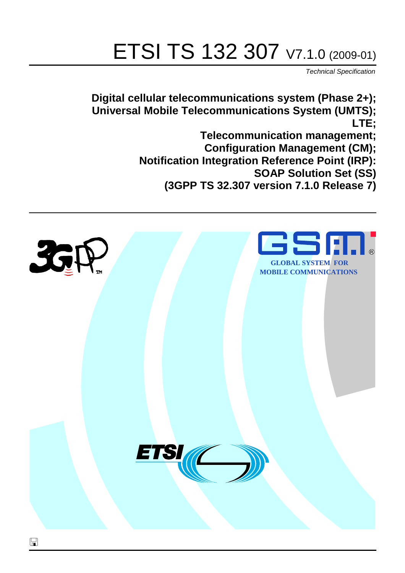# ETSI TS 132 307 V7.1.0 (2009-01)

*Technical Specification*

**Digital cellular telecommunications system (Phase 2+); Universal Mobile Telecommunications System (UMTS); LTE; Telecommunication management; Configuration Management (CM); Notification Integration Reference Point (IRP): SOAP Solution Set (SS) (3GPP TS 32.307 version 7.1.0 Release 7)**

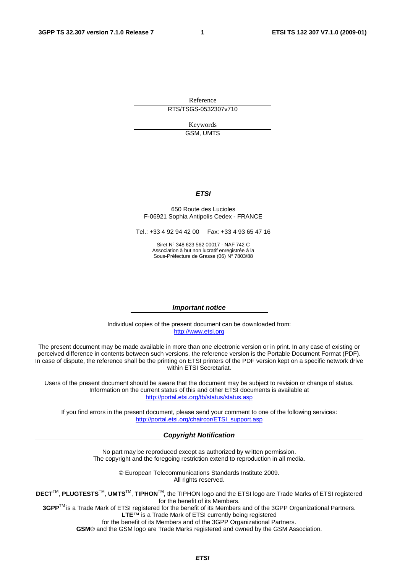Reference RTS/TSGS-0532307v710

> Keywords GSM, UMTS

#### *ETSI*

#### 650 Route des Lucioles F-06921 Sophia Antipolis Cedex - FRANCE

Tel.: +33 4 92 94 42 00 Fax: +33 4 93 65 47 16

Siret N° 348 623 562 00017 - NAF 742 C Association à but non lucratif enregistrée à la Sous-Préfecture de Grasse (06) N° 7803/88

#### *Important notice*

Individual copies of the present document can be downloaded from: [http://www.etsi.org](http://www.etsi.org/)

The present document may be made available in more than one electronic version or in print. In any case of existing or perceived difference in contents between such versions, the reference version is the Portable Document Format (PDF). In case of dispute, the reference shall be the printing on ETSI printers of the PDF version kept on a specific network drive within ETSI Secretariat.

Users of the present document should be aware that the document may be subject to revision or change of status. Information on the current status of this and other ETSI documents is available at <http://portal.etsi.org/tb/status/status.asp>

If you find errors in the present document, please send your comment to one of the following services: [http://portal.etsi.org/chaircor/ETSI\\_support.asp](http://portal.etsi.org/chaircor/ETSI_support.asp)

#### *Copyright Notification*

No part may be reproduced except as authorized by written permission. The copyright and the foregoing restriction extend to reproduction in all media.

> © European Telecommunications Standards Institute 2009. All rights reserved.

**DECT**TM, **PLUGTESTS**TM, **UMTS**TM, **TIPHON**TM, the TIPHON logo and the ETSI logo are Trade Marks of ETSI registered for the benefit of its Members.

**3GPP**TM is a Trade Mark of ETSI registered for the benefit of its Members and of the 3GPP Organizational Partners. **LTE**™ is a Trade Mark of ETSI currently being registered

for the benefit of its Members and of the 3GPP Organizational Partners.

**GSM**® and the GSM logo are Trade Marks registered and owned by the GSM Association.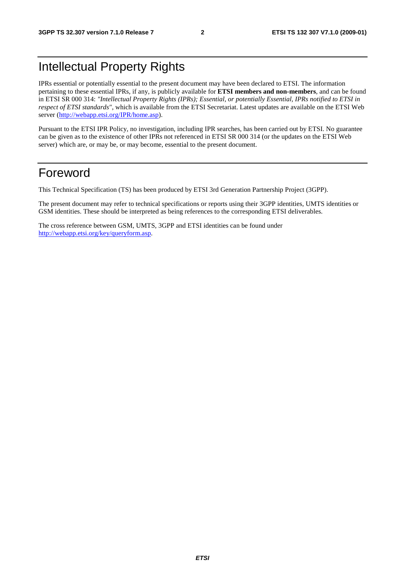## Intellectual Property Rights

IPRs essential or potentially essential to the present document may have been declared to ETSI. The information pertaining to these essential IPRs, if any, is publicly available for **ETSI members and non-members**, and can be found in ETSI SR 000 314: *"Intellectual Property Rights (IPRs); Essential, or potentially Essential, IPRs notified to ETSI in respect of ETSI standards"*, which is available from the ETSI Secretariat. Latest updates are available on the ETSI Web server [\(http://webapp.etsi.org/IPR/home.asp\)](http://webapp.etsi.org/IPR/home.asp).

Pursuant to the ETSI IPR Policy, no investigation, including IPR searches, has been carried out by ETSI. No guarantee can be given as to the existence of other IPRs not referenced in ETSI SR 000 314 (or the updates on the ETSI Web server) which are, or may be, or may become, essential to the present document.

## Foreword

This Technical Specification (TS) has been produced by ETSI 3rd Generation Partnership Project (3GPP).

The present document may refer to technical specifications or reports using their 3GPP identities, UMTS identities or GSM identities. These should be interpreted as being references to the corresponding ETSI deliverables.

The cross reference between GSM, UMTS, 3GPP and ETSI identities can be found under [http://webapp.etsi.org/key/queryform.asp.](http://webapp.etsi.org/key/queryform.asp)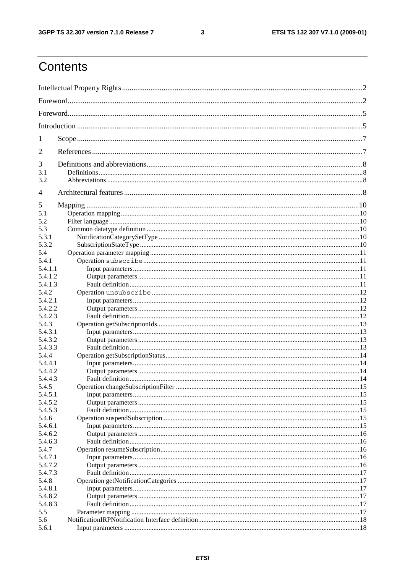#### $\mathbf{3}$

## Contents

| 1       |  |
|---------|--|
| 2       |  |
| 3       |  |
| 3.1     |  |
| 3.2     |  |
| 4       |  |
| 5       |  |
| 5.1     |  |
| 5.2     |  |
| 5.3     |  |
| 5.3.1   |  |
| 5.3.2   |  |
| 5.4     |  |
| 5.4.1   |  |
| 5.4.1.1 |  |
| 5.4.1.2 |  |
| 5.4.1.3 |  |
| 5.4.2   |  |
| 5.4.2.1 |  |
| 5.4.2.2 |  |
| 5.4.2.3 |  |
| 5.4.3   |  |
| 5.4.3.1 |  |
| 5.4.3.2 |  |
| 5.4.3.3 |  |
| 5.4.4   |  |
| 5.4.4.1 |  |
| 5.4.4.2 |  |
| 5.4.4.3 |  |
| 5.4.5   |  |
| 5.4.5.1 |  |
| 5.4.5.2 |  |
| 5.4.5.3 |  |
| 5.4.6   |  |
| 5.4.6.1 |  |
| 5.4.6.2 |  |
| 5.4.6.3 |  |
| 5.4.7   |  |
| 5.4.7.1 |  |
| 5.4.7.2 |  |
| 5.4.7.3 |  |
| 5.4.8   |  |
| 5.4.8.1 |  |
| 5.4.8.2 |  |
| 5.4.8.3 |  |
| 5.5     |  |
| 5.6     |  |
|         |  |
| 5.6.1   |  |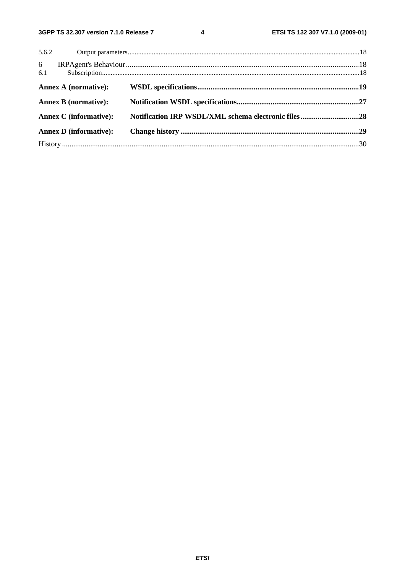$\overline{\mathbf{4}}$ 

|          | 5.6.2                         |  |
|----------|-------------------------------|--|
| 6<br>6.1 |                               |  |
|          | Annex A (normative):          |  |
|          | <b>Annex B</b> (normative):   |  |
|          | <b>Annex C</b> (informative): |  |
|          | <b>Annex D</b> (informative): |  |
|          |                               |  |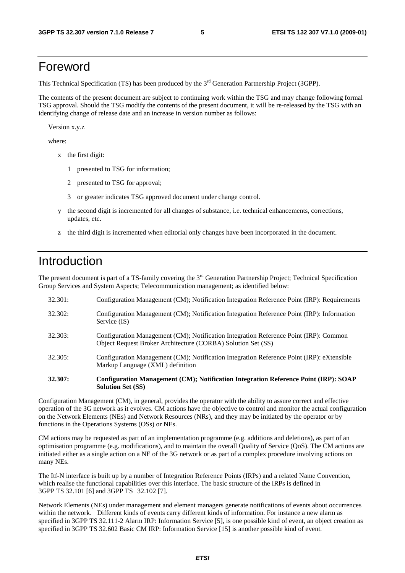## Foreword

This Technical Specification (TS) has been produced by the 3<sup>rd</sup> Generation Partnership Project (3GPP).

The contents of the present document are subject to continuing work within the TSG and may change following formal TSG approval. Should the TSG modify the contents of the present document, it will be re-released by the TSG with an identifying change of release date and an increase in version number as follows:

Version x.y.z

where:

- x the first digit:
	- 1 presented to TSG for information;
	- 2 presented to TSG for approval;
	- 3 or greater indicates TSG approved document under change control.
- y the second digit is incremented for all changes of substance, i.e. technical enhancements, corrections, updates, etc.
- z the third digit is incremented when editorial only changes have been incorporated in the document.

## Introduction

The present document is part of a TS-family covering the 3<sup>rd</sup> Generation Partnership Project; Technical Specification Group Services and System Aspects; Telecommunication management; as identified below:

| 32.307: | Configuration Management (CM); Notification Integration Reference Point (IRP): SOAP<br><b>Solution Set (SS)</b>                                       |
|---------|-------------------------------------------------------------------------------------------------------------------------------------------------------|
| 32.305: | Configuration Management (CM); Notification Integration Reference Point (IRP): eXtensible<br>Markup Language (XML) definition                         |
| 32.303: | Configuration Management (CM); Notification Integration Reference Point (IRP): Common<br>Object Request Broker Architecture (CORBA) Solution Set (SS) |
| 32.302: | Configuration Management (CM); Notification Integration Reference Point (IRP): Information<br>Service (IS)                                            |
| 32.301: | Configuration Management (CM); Notification Integration Reference Point (IRP): Requirements                                                           |

Configuration Management (CM), in general, provides the operator with the ability to assure correct and effective operation of the 3G network as it evolves. CM actions have the objective to control and monitor the actual configuration on the Network Elements (NEs) and Network Resources (NRs), and they may be initiated by the operator or by functions in the Operations Systems (OSs) or NEs.

CM actions may be requested as part of an implementation programme (e.g. additions and deletions), as part of an optimisation programme (e.g. modifications), and to maintain the overall Quality of Service (QoS). The CM actions are initiated either as a single action on a NE of the 3G network or as part of a complex procedure involving actions on many NEs.

The Itf-N interface is built up by a number of Integration Reference Points (IRPs) and a related Name Convention, which realise the functional capabilities over this interface. The basic structure of the IRPs is defined in 3GPP TS 32.101 [6] and 3GPP TS 32.102 [7].

Network Elements (NEs) under management and element managers generate notifications of events about occurrences within the network. Different kinds of events carry different kinds of information. For instance a new alarm as specified in 3GPP TS 32.111-2 Alarm IRP: Information Service [5], is one possible kind of event, an object creation as specified in 3GPP TS 32.602 Basic CM IRP: Information Service [15] is another possible kind of event.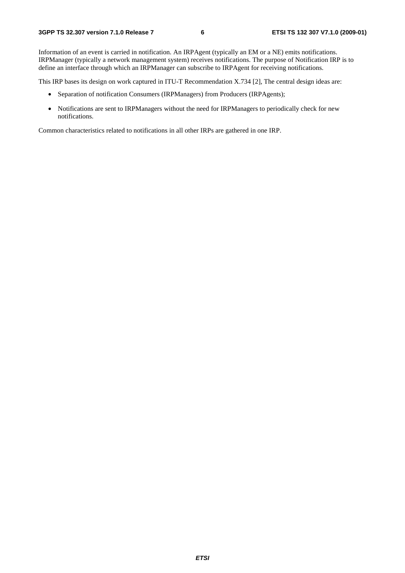Information of an event is carried in notification. An IRPAgent (typically an EM or a NE) emits notifications. IRPManager (typically a network management system) receives notifications. The purpose of Notification IRP is to define an interface through which an IRPManager can subscribe to IRPAgent for receiving notifications.

This IRP bases its design on work captured in ITU-T Recommendation X.734 [2], The central design ideas are:

- Separation of notification Consumers (IRPManagers) from Producers (IRPAgents);
- Notifications are sent to IRPManagers without the need for IRPManagers to periodically check for new notifications.

Common characteristics related to notifications in all other IRPs are gathered in one IRP.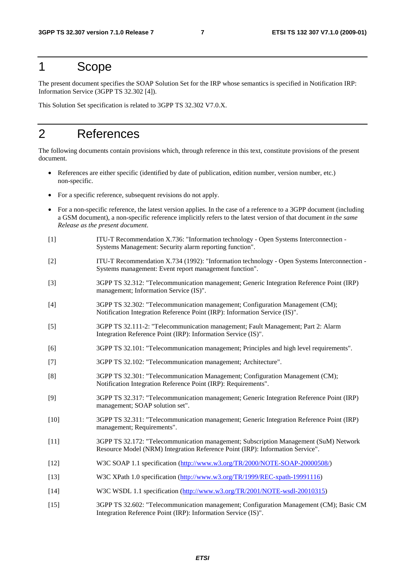## 1 Scope

The present document specifies the SOAP Solution Set for the IRP whose semantics is specified in Notification IRP: Information Service (3GPP TS 32.302 [4]).

This Solution Set specification is related to 3GPP TS 32.302 V7.0.X.

## 2 References

The following documents contain provisions which, through reference in this text, constitute provisions of the present document.

- References are either specific (identified by date of publication, edition number, version number, etc.) non-specific.
- For a specific reference, subsequent revisions do not apply.
- For a non-specific reference, the latest version applies. In the case of a reference to a 3GPP document (including a GSM document), a non-specific reference implicitly refers to the latest version of that document *in the same Release as the present document*.
- [1] ITU-T Recommendation X.736: "Information technology Open Systems Interconnection Systems Management: Security alarm reporting function".
- [2] ITU-T Recommendation X.734 (1992): "Information technology Open Systems Interconnection Systems management: Event report management function".
- [3] 3GPP TS 32.312: "Telecommunication management; Generic Integration Reference Point (IRP) management; Information Service (IS)".
- [4] 3GPP TS 32.302: "Telecommunication management; Configuration Management (CM); Notification Integration Reference Point (IRP): Information Service (IS)".
- [5] 3GPP TS 32.111-2: "Telecommunication management; Fault Management; Part 2: Alarm Integration Reference Point (IRP): Information Service (IS)".
- [6] 3GPP TS 32.101: "Telecommunication management; Principles and high level requirements".
- [7] 3GPP TS 32.102: "Telecommunication management; Architecture".
- [8] 3GPP TS 32.301: "Telecommunication Management; Configuration Management (CM); Notification Integration Reference Point (IRP): Requirements".
- [9] 3GPP TS 32.317: "Telecommunication management; Generic Integration Reference Point (IRP) management; SOAP solution set".
- [10] 3GPP TS 32.311: "Telecommunication management; Generic Integration Reference Point (IRP) management; Requirements".
- [11] 3GPP TS 32.172: "Telecommunication management; Subscription Management (SuM) Network Resource Model (NRM) Integration Reference Point (IRP): Information Service".
- [12] W3C SOAP 1.1 specification [\(http://www.w3.org/TR/2000/NOTE-SOAP-20000508/](http://www.w3.org/TR/2000/NOTE-SOAP-20000508/))
- [13] W3C XPath 1.0 specification [\(http://www.w3.org/TR/1999/REC-xpath-19991116\)](http://www.w3.org/TR/1999/REC-xpath-19991116)
- [14] W3C WSDL 1.1 specification [\(http://www.w3.org/TR/2001/NOTE-wsdl-20010315](http://www.w3.org/TR/wsdl))
- [15] 3GPP TS 32.602: "Telecommunication management; Configuration Management (CM); Basic CM Integration Reference Point (IRP): Information Service (IS)".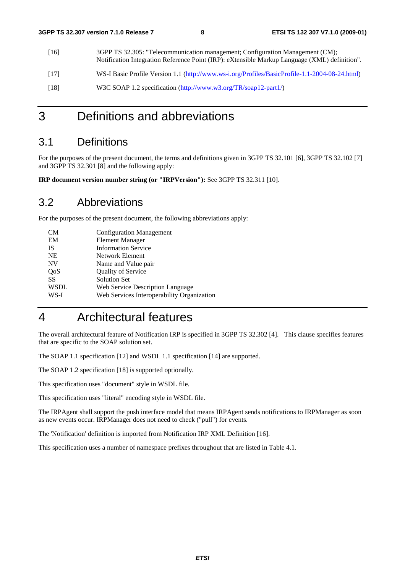[16] 3GPP TS 32.305: "Telecommunication management; Configuration Management (CM); Notification Integration Reference Point (IRP): eXtensible Markup Language (XML) definition". [17] WS-I Basic Profile Version 1.1 [\(http://www.ws-i.org/Profiles/BasicProfile-1.1-2004-08-24.html](http://www.ws-i.org/Profiles/BasicProfile-1.1-2004-08-24.html)) [18] W3C SOAP 1.2 specification [\(http://www.w3.org/TR/soap12-part1/\)](http://www.w3.org/TR/soap12-part1/)

## 3 Definitions and abbreviations

### 3.1 Definitions

For the purposes of the present document, the terms and definitions given in 3GPP TS 32.101 [6], 3GPP TS 32.102 [7] and 3GPP TS 32.301 [8] and the following apply:

**IRP document version number string (or "IRPVersion"):** See 3GPP TS 32.311 [10].

### 3.2 Abbreviations

For the purposes of the present document, the following abbreviations apply:

| CМ          | <b>Configuration Management</b>            |
|-------------|--------------------------------------------|
| EM          | <b>Element Manager</b>                     |
| IS          | <b>Information Service</b>                 |
| <b>NE</b>   | Network Element                            |
| <b>NV</b>   | Name and Value pair                        |
| QoS         | Quality of Service                         |
| SS          | <b>Solution Set</b>                        |
| <b>WSDL</b> | Web Service Description Language           |
| WS-I        | Web Services Interoperability Organization |
|             |                                            |

## 4 Architectural features

The overall architectural feature of Notification IRP is specified in 3GPP TS 32.302 [4]. This clause specifies features that are specific to the SOAP solution set.

The SOAP 1.1 specification [12] and WSDL 1.1 specification [14] are supported.

The SOAP 1.2 specification [18] is supported optionally.

This specification uses "document" style in WSDL file.

This specification uses "literal" encoding style in WSDL file.

The IRPAgent shall support the push interface model that means IRPAgent sends notifications to IRPManager as soon as new events occur. IRPManager does not need to check ("pull") for events.

The 'Notification' definition is imported from Notification IRP XML Definition [16].

This specification uses a number of namespace prefixes throughout that are listed in Table 4.1.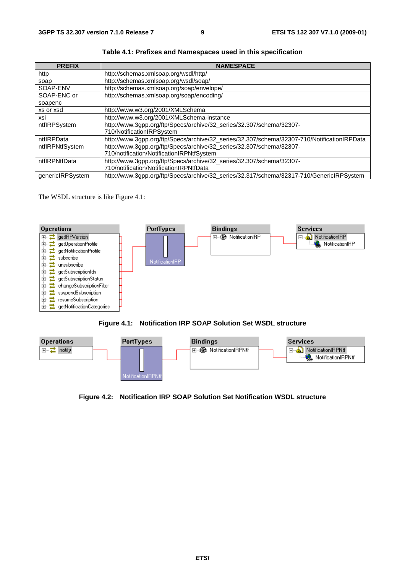| <b>PREFIX</b>    | <b>NAMESPACE</b>                                                                            |
|------------------|---------------------------------------------------------------------------------------------|
| http             | http://schemas.xmlsoap.org/wsdl/http/                                                       |
| soap             | http://schemas.xmlsoap.org/wsdl/soap/                                                       |
| SOAP-ENV         | http://schemas.xmlsoap.org/soap/envelope/                                                   |
| SOAP-ENC or      | http://schemas.xmlsoap.org/soap/encoding/                                                   |
| soapenc          |                                                                                             |
| xs or xsd        | http://www.w3.org/2001/XMLSchema                                                            |
| xsi              | http://www.w3.org/2001/XMLSchema-instance                                                   |
| ntflRPSystem     | http://www.3gpp.org/ftp/Specs/archive/32_series/32.307/schema/32307-                        |
|                  | 710/NotificationIRPSystem                                                                   |
| ntflRPData       | http://www.3gpp.org/ftp/Specs/archive/32_series/32.307/schema/32307-710/NotificationIRPData |
| ntflRPNtfSystem  | http://www.3gpp.org/ftp/Specs/archive/32_series/32.307/schema/32307-                        |
|                  | 710/notification/NotificationIRPNtfSystem                                                   |
| ntflRPNtfData    | http://www.3gpp.org/ftp/Specs/archive/32_series/32.307/schema/32307-                        |
|                  | 710/notification/NotificationIRPNtfData                                                     |
| genericlRPSystem | http://www.3gpp.org/ftp/Specs/archive/32_series/32.317/schema/32317-710/GenericlRPSystem    |

**Table 4.1: Prefixes and Namespaces used in this specification**

The WSDL structure is like Figure 4.1:







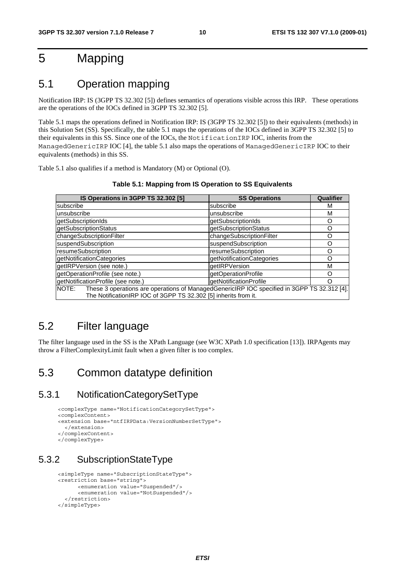## 5 Mapping

## 5.1 Operation mapping

Notification IRP: IS (3GPP TS 32.302 [5]) defines semantics of operations visible across this IRP. These operations are the operations of the IOCs defined in 3GPP TS 32.302 [5].

Table 5.1 maps the operations defined in Notification IRP: IS (3GPP TS 32.302 [5]) to their equivalents (methods) in this Solution Set (SS). Specifically, the table 5.1 maps the operations of the IOCs defined in 3GPP TS 32.302 [5] to their equivalents in this SS. Since one of the IOCs, the NotificationIRP IOC, inherits from the ManagedGenericIRP IOC [4], the table 5.1 also maps the operations of ManagedGenericIRP IOC to their equivalents (methods) in this SS.

Table 5.1 also qualifies if a method is Mandatory (M) or Optional (O).

| IS Operations in 3GPP TS 32.302 [5]                                                                                                                                  | <b>SS Operations</b>      | Qualifier |
|----------------------------------------------------------------------------------------------------------------------------------------------------------------------|---------------------------|-----------|
| subscribe                                                                                                                                                            | subscribe                 | м         |
| unsubscribe                                                                                                                                                          | unsubscribe               | М         |
| getSubscriptionIds                                                                                                                                                   | getSubscriptionIds        | Ω         |
| getSubscriptionStatus                                                                                                                                                | getSubscriptionStatus     | Ω         |
| changeSubscriptionFilter                                                                                                                                             | changeSubscriptionFilter  | റ         |
| suspendSubscription                                                                                                                                                  | suspendSubscription       | റ         |
| resumeSubscription                                                                                                                                                   | resumeSubscription        | ∩         |
| getNotificationCategories                                                                                                                                            | getNotificationCategories | റ         |
| getIRPVersion (see note.)                                                                                                                                            | getIRPVersion             | M         |
| getOperationProfile (see note.)                                                                                                                                      | getOperationProfile       |           |
| getNotificationProfile (see note.)                                                                                                                                   | getNotificationProfile    | ∩         |
| NOTE: These 3 operations are operations of ManagedGenericIRP IOC specified in 3GPP TS 32.312 [4].<br>The NotificationIRP IOC of 3GPP TS 32.302 [5] inherits from it. |                           |           |

**Table 5.1: Mapping from IS Operation to SS Equivalents** 

## 5.2 Filter language

The filter language used in the SS is the XPath Language (see W3C XPath 1.0 specification [13]). IRPAgents may throw a FilterComplexityLimit fault when a given filter is too complex.

## 5.3 Common datatype definition

### 5.3.1 NotificationCategorySetType

```
<complexType name="NotificationCategorySetType"> 
<complexContent> 
<extension base="ntfIRPData:VersionNumberSetType"> 
   </extension> 
</complexContent> 
</complexType>
```
## 5.3.2 SubscriptionStateType

```
<simpleType name="SubscriptionStateType"> 
<restriction base="string"> 
       <enumeration value="Suspended"/> 
       <enumeration value="NotSuspended"/> 
   </restriction> 
</simpleType>
```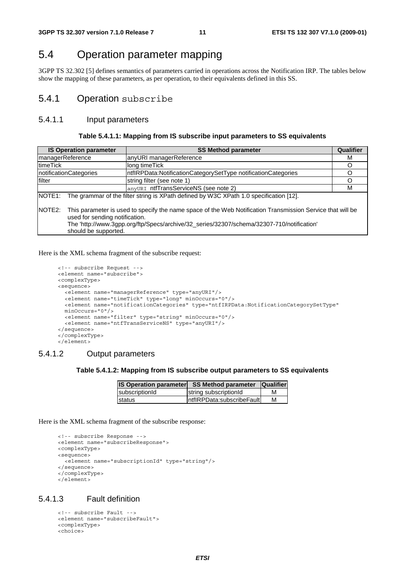## 5.4 Operation parameter mapping

3GPP TS 32.302 [5] defines semantics of parameters carried in operations across the Notification IRP. The tables below show the mapping of these parameters, as per operation, to their equivalents defined in this SS.

### 5.4.1 Operation subscribe

#### 5.4.1.1 Input parameters

#### **Table 5.4.1.1: Mapping from IS subscribe input parameters to SS equivalents**

|                     | <b>IS Operation parameter</b>                                                                                                                                                                                                                                     | <b>SS Method parameter</b>                                                             | Qualifier |
|---------------------|-------------------------------------------------------------------------------------------------------------------------------------------------------------------------------------------------------------------------------------------------------------------|----------------------------------------------------------------------------------------|-----------|
| managerReference    |                                                                                                                                                                                                                                                                   | anyURI managerReference                                                                | м         |
| timeTick            |                                                                                                                                                                                                                                                                   | long timeTick                                                                          | O         |
|                     | InotificationCategories                                                                                                                                                                                                                                           | ntflRPData:NotificationCategorySetType notificationCategories                          |           |
| filter              |                                                                                                                                                                                                                                                                   | string filter (see note 1)                                                             | O         |
|                     |                                                                                                                                                                                                                                                                   | anyURI ntfTransServiceNS (see note 2)                                                  | м         |
| NOTE1:              |                                                                                                                                                                                                                                                                   | The grammar of the filter string is XPath defined by W3C XPath 1.0 specification [12]. |           |
| NOTE <sub>2</sub> : | This parameter is used to specify the name space of the Web Notification Transmission Service that will be<br>used for sending notification.<br>The 'http://www.3gpp.org/ftp/Specs/archive/32_series/32307/schema/32307-710/notification'<br>should be supported. |                                                                                        |           |

Here is the XML schema fragment of the subscribe request:

```
<!-- subscribe Request --> 
<element name="subscribe"> 
<complexType> 
<sequence> 
 <element name="managerReference" type="anyURI"/> 
  <element name="timeTick" type="long" minOccurs="0"/> 
  <element name="notificationCategories" type="ntfIRPData:NotificationCategorySetType" 
  minOccurs="0"/> 
  <element name="filter" type="string" minOccurs="0"/> 
  <element name="ntfTransServiceNS" type="anyURI"/> 
</sequence> 
</complexType> 
</element>
```
#### 5.4.1.2 Output parameters

#### **Table 5.4.1.2: Mapping from IS subscribe output parameters to SS equivalents**

| <b>IS Operation parameter</b> | <b>SS Method parameter</b>  | <b>Qualifier</b> |
|-------------------------------|-----------------------------|------------------|
| subscriptionId                | string subscriptionId       | м                |
| <b>Istatus</b>                | IntfIRPData:subscribeFaultI | М                |

Here is the XML schema fragment of the subscribe response:

```
<!-- subscribe Response --> 
<element name="subscribeResponse"> 
<complexType> 
<sequence> 
  <element name="subscriptionId" type="string"/> 
</sequence> 
</complexType> 
</element>
```
#### 5.4.1.3 Fault definition

```
<!-- subscribe Fault --> 
<element name="subscribeFault"> 
<complexType> 
<choice>
```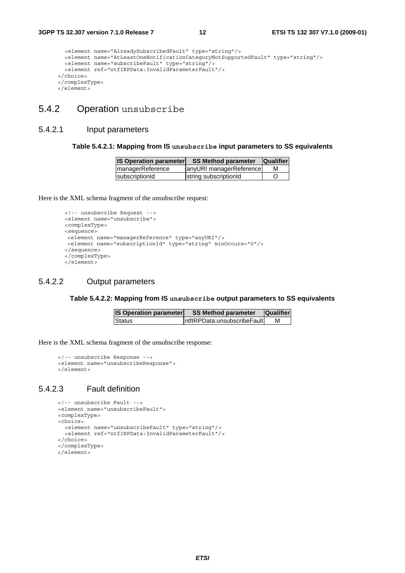```
<element name="AlreadySubscribedFault" type="string"/> 
  <element name="AtLeastOneNotificationCategoryNotSupportedFault" type="string"/> 
  <element name="subscribeFault" type="string"/> 
  <element ref="ntfIRPData:InvalidParameterFault"/> 
</choice> 
</complexType> 
</element>
```
### 5.4.2 Operation unsubscribe

#### 5.4.2.1 Input parameters

#### **Table 5.4.2.1: Mapping from IS unsubscribe input parameters to SS equivalents**

| <b>IS Operation parameter</b> | <b>SS Method parameter</b> | <b>Qualifier</b> |
|-------------------------------|----------------------------|------------------|
| <b>ImanagerReference</b>      | anyURI managerReference    | M                |
| subscriptionId                | string subscriptionId      |                  |

Here is the XML schema fragment of the unsubscribe request:

```
<!-- unsubscribe Request --> 
<element name="unsubscribe"> 
<complexType> 
<sequence> 
<element name="managerReference" type="anyURI"/> 
<element name="subscriptionId" type="string" minOccurs="0"/> 
</sequence> 
</complexType> 
</element>
```
#### 5.4.2.2 Output parameters

#### **Table 5.4.2.2: Mapping from IS unsubscribe output parameters to SS equivalents**

| <b>IS Operation parameter</b> | <b>SS Method parameter</b>    | <b>Qualifier</b> |
|-------------------------------|-------------------------------|------------------|
| <b>Status</b>                 | IntflRPData:unsubscribeFaultL |                  |

Here is the XML schema fragment of the unsubscribe response:

```
<!-- unsubscribe Response --> 
<element name="unsubscribeResponse"> 
</element>
```
#### 5.4.2.3 Fault definition

```
<!-- unsubscribe Fault --> 
<element name="unsubscribeFault"> 
<complexType> 
<choice> 
  <element name="unsubscribeFault" type="string"/> 
  <element ref="ntfIRPData:InvalidParameterFault"/> 
</choice> 
</complexType> 
</element>
```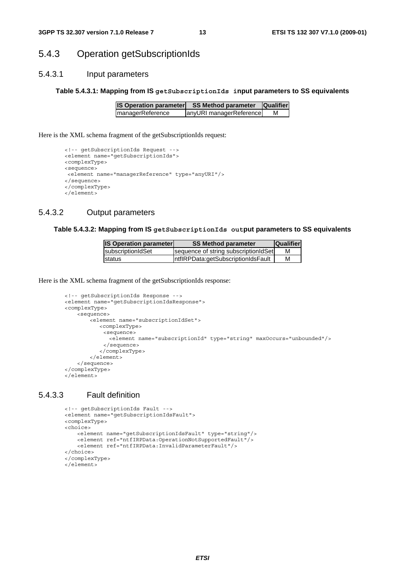#### 5.4.3 Operation getSubscriptionIds

#### 5.4.3.1 Input parameters

#### **Table 5.4.3.1: Mapping from IS getSubscriptionIds input parameters to SS equivalents**

| <b>IS Operation parameter</b> | <b>SS Method parameter</b> | <b>Qualifier</b> |
|-------------------------------|----------------------------|------------------|
| <b>ImanagerReference</b>      | anyURI managerReference    | м                |

Here is the XML schema fragment of the getSubscriptionIds request:

```
<!-- getSubscriptionIds Request --> 
<element name="getSubscriptionIds"> 
<complexType> 
<sequence> 
<element name="managerReference" type="anyURI"/> 
</sequence> 
</complexType> 
</element>
```
#### 5.4.3.2 Output parameters

#### **Table 5.4.3.2: Mapping from IS getSubscriptionIds output parameters to SS equivalents**

| <b>IS Operation parameter</b> | <b>SS Method parameter</b>           | <b>Qualifier</b> |
|-------------------------------|--------------------------------------|------------------|
| IsubscriptionIdSet            | sequence of string subscriptionIdSet |                  |
| Istatus                       | IntflRPData:getSubscriptionIdsFault  | м                |

Here is the XML schema fragment of the getSubscriptionIds response:

```
<!-- getSubscriptionIds Response --> 
<element name="getSubscriptionIdsResponse"> 
<complexType> 
    <sequence> 
        <element name="subscriptionIdSet"> 
           <complexType> 
            <sequence> 
              <element name="subscriptionId" type="string" maxOccurs="unbounded"/> 
            </sequence> 
           </complexType> 
        </element> 
    </sequence> 
</complexType> 
</element>
```
#### 5.4.3.3 Fault definition

```
<!-- getSubscriptionIds Fault --> 
<element name="getSubscriptionIdsFault"> 
<complexType> 
<choice> 
   <element name="getSubscriptionIdsFault" type="string"/> 
   <element ref="ntfIRPData:OperationNotSupportedFault"/> 
   <element ref="ntfIRPData:InvalidParameterFault"/> 
</choice> 
</complexType> 
</element>
```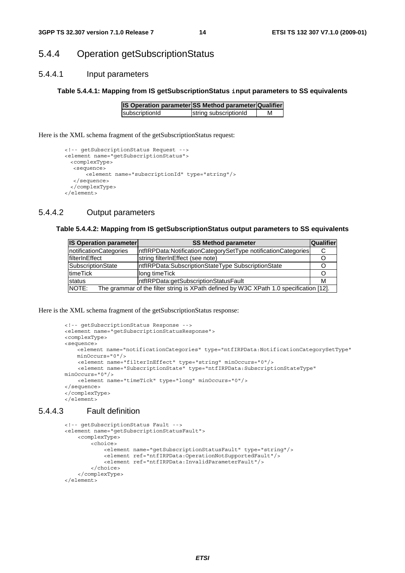### 5.4.4 Operation getSubscriptionStatus

#### 5.4.4.1 Input parameters

#### **Table 5.4.4.1: Mapping from IS getSubscriptionStatus input parameters to SS equivalents**

| IS Operation parameter SS Method parameter Qualifier |                       |   |
|------------------------------------------------------|-----------------------|---|
| subscriptionId                                       | string subscriptionId | м |

Here is the XML schema fragment of the getSubscriptionStatus request:

```
<!-- getSubscriptionStatus Request --> 
<element name="getSubscriptionStatus"> 
 <complexType> 
  <sequence> 
      <element name="subscriptionId" type="string"/> 
  </sequence> 
 </complexType> 
</element>
```
### 5.4.4.2 Output parameters

#### **Table 5.4.4.2: Mapping from IS getSubscriptionStatus output parameters to SS equivalents**

| <b>IS Operation parameter</b>                                                                   | <b>SS Method parameter</b>                                     | <b>Qualifier</b> |
|-------------------------------------------------------------------------------------------------|----------------------------------------------------------------|------------------|
| notificationCategories                                                                          | IntflRPData:NotificationCategorySetType notificationCategories |                  |
| IfilterInEffect                                                                                 | string filterInEffect (see note)                               |                  |
| <b>SubscriptionState</b>                                                                        | IntflRPData:SubscriptionStateType SubscriptionState            |                  |
| ItimeTick                                                                                       | long time Tick                                                 |                  |
| status                                                                                          | IntflRPData:getSubscriptionStatusFault                         |                  |
| NOTE:<br>The grammar of the filter string is XPath defined by W3C XPath 1.0 specification [12]. |                                                                |                  |

Here is the XML schema fragment of the getSubscriptionStatus response:

```
<!-- getSubscriptionStatus Response --> 
<element name="getSubscriptionStatusResponse"> 
<complexType> 
<sequence> 
   .<br>element name="notificationCategories" type="ntfIRPData:NotificationCategorySetType"
   minOc^{ours} = "0"/>
    <element name="filterInEffect" type="string" minOccurs="0"/> 
     <element name="SubscriptionState" type="ntfIRPData:SubscriptionStateType" 
minOccurs="0"/> 
    <element name="timeTick" type="long" minOccurs="0"/> 
</sequence> 
</complexType> 
</element>
```
#### 5.4.4.3 Fault definition

```
<!-- getSubscriptionStatus Fault --> 
 <element name="getSubscriptionStatusFault"> 
     <complexType> 
         <choice> 
             <element name="getSubscriptionStatusFault" type="string"/> 
             <element ref="ntfIRPData:OperationNotSupportedFault"/> 
              <element ref="ntfIRPData:InvalidParameterFault"/> 
         </choice> 
     </complexType> 
 </element>
```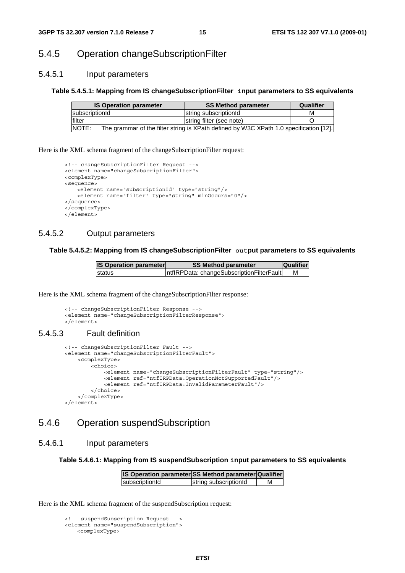### 5.4.5 Operation changeSubscriptionFilter

#### 5.4.5.1 Input parameters

#### **Table 5.4.5.1: Mapping from IS changeSubscriptionFilter input parameters to SS equivalents**

| <b>IS Operation parameter</b> | <b>SS Method parameter</b>                                                             | Qualifier |
|-------------------------------|----------------------------------------------------------------------------------------|-----------|
| <b>IsubscriptionId</b>        | string subscriptionId                                                                  | М         |
| lfilter                       | string filter (see note)                                                               |           |
| <b>NOTE:</b>                  | The grammar of the filter string is XPath defined by W3C XPath 1.0 specification [12]. |           |

Here is the XML schema fragment of the changeSubscriptionFilter request:

```
<!-- changeSubscriptionFilter Request --> 
<element name="changeSubscriptionFilter"> 
<complexType> 
<sequence> 
   <element name="subscriptionId" type="string"/> 
   <element name="filter" type="string" minOccurs="0"/> 
</sequence> 
</complexType> 
</element>
```
#### 5.4.5.2 Output parameters

#### **Table 5.4.5.2: Mapping from IS changeSubscriptionFilter output parameters to SS equivalents**

| <b>IS Operation parameter</b> | <b>SS Method parameter</b>                | <b>Qualifier</b> |
|-------------------------------|-------------------------------------------|------------------|
| <b>Istatus</b>                | ntflRPData: changeSubscriptionFilterFault | м                |

Here is the XML schema fragment of the changeSubscriptionFilter response:

```
<!-- changeSubscriptionFilter Response --> 
<element name="changeSubscriptionFilterResponse"> 
</element>
```
#### 5.4.5.3 Fault definition

```
<!-- changeSubscriptionFilter Fault --> 
 <element name="changeSubscriptionFilterFault"> 
     <complexType> 
        \n  <choice\sim <element name="changeSubscriptionFilterFault" type="string"/> 
             <element ref="ntfIRPData:OperationNotSupportedFault"/> 
             <element ref="ntfIRPData:InvalidParameterFault"/> 
         </choice> 
     </complexType> 
 </element>
```
### 5.4.6 Operation suspendSubscription

#### 5.4.6.1 Input parameters

**Table 5.4.6.1: Mapping from IS suspendSubscription input parameters to SS equivalents** 

| IS Operation parameter SS Method parameter Qualifier |                       |   |
|------------------------------------------------------|-----------------------|---|
| subscriptionId                                       | string subscriptionId | м |

Here is the XML schema fragment of the suspendSubscription request:

```
<!-- suspendSubscription Request --> 
<element name="suspendSubscription"> 
   <complexType>
```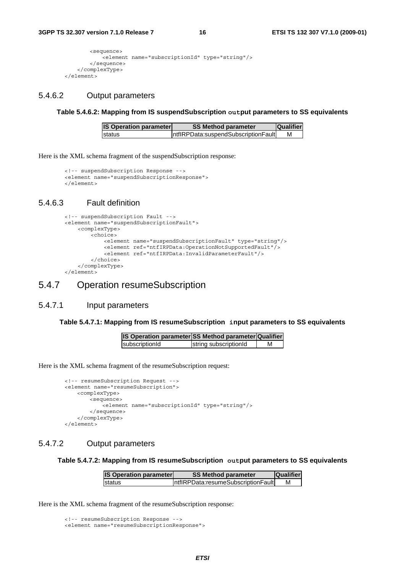```
<sequence> 
            -<br><element name="subscriptionId" type="string"/>
        </sequence> 
    </complexType> 
</element>
```
#### 5.4.6.2 Output parameters

**Table 5.4.6.2: Mapping from IS suspendSubscription output parameters to SS equivalents** 

| <b>IS Operation parameter</b> | <b>SS Method parameter</b>           | <b>Qualifier</b> |
|-------------------------------|--------------------------------------|------------------|
| Istatus                       | IntflRPData:suspendSubscriptionFault | М                |

Here is the XML schema fragment of the suspendSubscription response:

```
<!-- suspendSubscription Response --> 
<element name="suspendSubscriptionResponse"> 
</element>
```
#### 5.4.6.3 Fault definition

```
<!-- suspendSubscription Fault --> 
 <element name="suspendSubscriptionFault"> 
     <complexType> 
         <choice> 
             <element name="suspendSubscriptionFault" type="string"/> 
             <element ref="ntfIRPData:OperationNotSupportedFault"/> 
             <element ref="ntfIRPData:InvalidParameterFault"/> 
         </choice> 
     </complexType> 
 </element>
```
#### 5.4.7 Operation resumeSubscription

#### 5.4.7.1 Input parameters

#### **Table 5.4.7.1: Mapping from IS resumeSubscription input parameters to SS equivalents**

| IS Operation parameter SS Method parameter Qualifier |                       |  |
|------------------------------------------------------|-----------------------|--|
| subscriptionId                                       | string subscriptionId |  |

Here is the XML schema fragment of the resumeSubscription request:

```
<!-- resumeSubscription Request --> 
<element name="resumeSubscription"> 
    <complexType> 
       <sequence> 
            .<br><element name="subscriptionId" type="string"/>
       </sequence> 
    </complexType> 
</element>
```
#### 5.4.7.2 Output parameters

#### **Table 5.4.7.2: Mapping from IS resumeSubscription output parameters to SS equivalents**

| <b>IS Operation parameter</b> | <b>SS Method parameter</b>          | <b>Qualifier</b> |
|-------------------------------|-------------------------------------|------------------|
| Istatus                       | IntflRPData:resumeSubscriptionFault | М                |

Here is the XML schema fragment of the resumeSubscription response:

<sup>&</sup>lt;!-- resumeSubscription Response --> <element name="resumeSubscriptionResponse">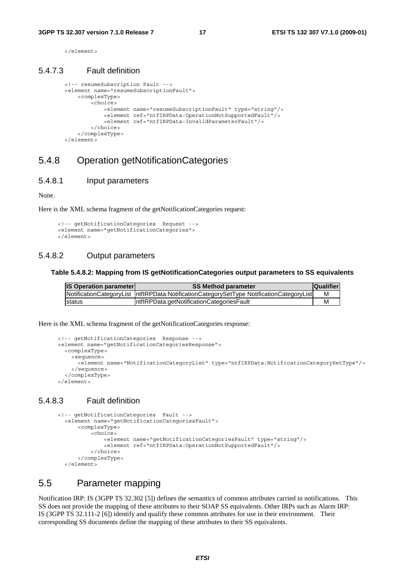</element>

#### 5.4.7.3 Fault definition

```
<!-- resumeSubscription Fault --> 
 <element name="resumeSubscriptionFault"> 
     <complexType> 
         <choice> 
             <element name="resumeSubscriptionFault" type="string"/> 
             <element ref="ntfIRPData:OperationNotSupportedFault"/> 
             <element ref="ntfIRPData:InvalidParameterFault"/> 
         </choice> 
     </complexType> 
 </element>
```
### 5.4.8 Operation getNotificationCategories

#### 5.4.8.1 Input parameters

None.

Here is the XML schema fragment of the getNotificationCategories request:

```
<!-- getNotificationCategories Request --> 
<element name="getNotificationCategories"> 
</element>
```
#### 5.4.8.2 Output parameters

#### **Table 5.4.8.2: Mapping from IS getNotificationCategories output parameters to SS equivalents**

| <b>IS Operation parameter</b> | <b>SS Method parameter</b>                                                                | <b>Qualifier</b> |
|-------------------------------|-------------------------------------------------------------------------------------------|------------------|
|                               | NotificationCategoryList  ntflRPData:NotificationCategorySetType NotificationCategoryList |                  |
| <b>Istatus</b>                | IntflRPData:getNotificationCategoriesFault                                                |                  |

Here is the XML schema fragment of the getNotificationCategories response:

```
<!-- getNotificationCategories Response --> 
<element name="getNotificationCategoriesResponse"> 
 <complexType> 
   <sequence> 
       <element name="NotificationCategoryList" type="ntfIRPData:NotificationCategorySetType"/> 
    </sequence> 
  </complexType> 
</element>
```
#### 5.4.8.3 Fault definition

```
<!-- getNotificationCategories Fault --> 
   <element name="getNotificationCategoriesFault"> 
       <complexType> 
           <choice> 
                <element name="getNotificationCategoriesFault" type="string"/> 
                <element ref="ntfIRPData:OperationNotSupportedFault"/> 
           </choice> 
       </complexType> 
   </element>
```
#### 5.5 Parameter mapping

Notification IRP: IS (3GPP TS 32.302 [5]) defines the semantics of common attributes carried in notifications. This SS does not provide the mapping of these attributes to their SOAP SS equivalents. Other IRPs such as Alarm IRP: IS (3GPP TS 32.111-2 [6]) identify and qualify these common attributes for use in their environment. Their corresponding SS documents define the mapping of these attributes to their SS equivalents.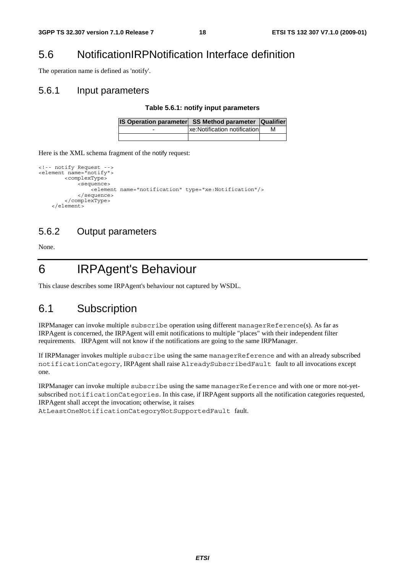## 5.6 NotificationIRPNotification Interface definition

The operation name is defined as 'notify'.

#### 5.6.1 Input parameters

#### **Table 5.6.1: notify input parameters**

|   | <b>IS Operation parameter SS Method parameter Qualifier</b> |   |
|---|-------------------------------------------------------------|---|
| - | xe: Notification notification                               | м |
|   |                                                             |   |

Here is the XML schema fragment of the notify request:

```
<!-- notify Request --> 
<element name="notify"> 
          <complexType> 
              <sequence> 
                  .<br><element name="notification" type="xe:Notification"/>
              </sequence> 
          </complexType> 
     </element>
```
### 5.6.2 Output parameters

None.

6 IRPAgent's Behaviour

This clause describes some IRPAgent's behaviour not captured by WSDL.

### 6.1 Subscription

IRPManager can invoke multiple subscribe operation using different managerReference(s). As far as IRPAgent is concerned, the IRPAgent will emit notifications to multiple "places" with their independent filter requirements. IRPAgent will not know if the notifications are going to the same IRPManager.

If IRPManager invokes multiple subscribe using the same managerReference and with an already subscribed notificationCategory, IRPAgent shall raise AlreadySubscribedFault fault to all invocations except one.

IRPManager can invoke multiple subscribe using the same managerReference and with one or more not-yetsubscribed notificationCategories. In this case, if IRPAgent supports all the notification categories requested, IRPAgent shall accept the invocation; otherwise, it raises

AtLeastOneNotificationCategoryNotSupportedFault fault.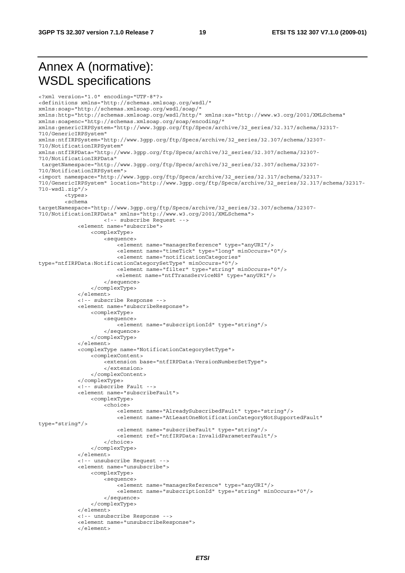## Annex A (normative): WSDL specifications

<?xml version="1.0" encoding="UTF-8"?> <definitions xmlns="http://schemas.xmlsoap.org/wsdl/" xmlns:soap="http://schemas.xmlsoap.org/wsdl/soap/" xmlns:http="http://schemas.xmlsoap.org/wsdl/http/" xmlns:xs="http://www.w3.org/2001/XMLSchema" xmlns:soapenc="http://schemas.xmlsoap.org/soap/encoding/" xmlns:genericIRPSystem="http://www.3gpp.org/ftp/Specs/archive/32\_series/32.317/schema/32317- 710/GenericIRPSystem" xmlns:ntfIRPSystem="http://www.3gpp.org/ftp/Specs/archive/32\_series/32.307/schema/32307- 710/NotificationIRPSystem" xmlns:ntfIRPData="http://www.3gpp.org/ftp/Specs/archive/32\_series/32.307/schema/32307- 710/NotificationIRPData" targetNamespace="http://www.3gpp.org/ftp/Specs/archive/32\_series/32.307/schema/32307- 710/NotificationIRPSystem"> <import namespace="http://www.3gpp.org/ftp/Specs/archive/32\_series/32.317/schema/32317- 710/GenericIRPSystem" location="http://www.3gpp.org/ftp/Specs/archive/32\_series/32.317/schema/32317- 710-wsdl.zip"/> <types> <schema targetNamespace="http://www.3gpp.org/ftp/Specs/archive/32\_series/32.307/schema/32307- 710/NotificationIRPData" xmlns="http://www.w3.org/2001/XMLSchema"> <!-- subscribe Request --> <element name="subscribe"> <complexType> <sequence> -<br><element name="managerReference" type="anyURI"/> <element name="timeTick" type="long" minOccurs="0"/> <element name="notificationCategories" type="ntfIRPData:NotificationCategorySetType" minOccurs="0"/> <element name="filter" type="string" minOccurs="0"/> <element name="ntfTransServiceNS" type="anyURI"/> </sequence> </complexType> </element> <!-- subscribe Response --> <element name="subscribeResponse"> <complexType> <sequence> -<br><element name="subscriptionId" type="string"/> </sequence> </complexType> </element> <complexType name="NotificationCategorySetType"> <complexContent> <extension base="ntfIRPData:VersionNumberSetType"> </extension> </complexContent> </complexType> <!-- subscribe Fault --> <element name="subscribeFault"> <complexType> <choice> <element name="AlreadySubscribedFault" type="string"/> <element name="AtLeastOneNotificationCategoryNotSupportedFault" type="string"/> <element name="subscribeFault" type="string"/> <element ref="ntfIRPData:InvalidParameterFault"/> </choice> </complexType> </element> <!-- unsubscribe Request --> <element name="unsubscribe"> <complexType> <sequence> .<br><element name="managerReference" type="anyURI"/> <element name="subscriptionId" type="string" minOccurs="0"/> </sequence> </complexType> </element> <!-- unsubscribe Response --> <element name="unsubscribeResponse"> </element>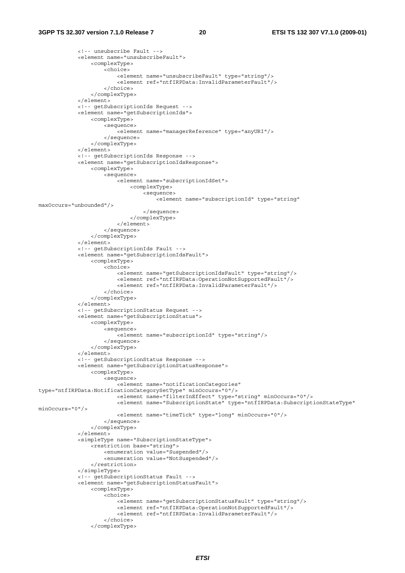```
 <!-- unsubscribe Fault --> 
              <element name="unsubscribeFault"> 
                  <complexType> 
                      <choice> 
                           <element name="unsubscribeFault" type="string"/> 
                           <element ref="ntfIRPData:InvalidParameterFault"/> 
                       </choice> 
                  </complexType> 
              </element> 
              <!-- getSubscriptionIds Request --> 
              <element name="getSubscriptionIds"> 
                  <complexType> 
                      <sequence> 
                          -<br><element name="managerReference" type="anyURI"/>
                      </sequence> 
                  </complexType> 
              </element> 
              <!-- getSubscriptionIds Response --> 
              <element name="getSubscriptionIdsResponse"> 
                  <complexType> 
                      <sequence> 
                           <element name="subscriptionIdSet"> 
                               <complexType> 
                                   <sequence> 
                                        <element name="subscriptionId" type="string" 
maxOccurs="unbounded"/> 
                                   </sequence> 
                               </complexType> 
                           </element> 
                      </sequence> 
                  </complexType> 
              </element> 
              <!-- getSubscriptionIds Fault --> 
              <element name="getSubscriptionIdsFault"> 
                  <complexType> 
                      <choice> 
                           <element name="getSubscriptionIdsFault" type="string"/> 
                           <element ref="ntfIRPData:OperationNotSupportedFault"/> 
                           <element ref="ntfIRPData:InvalidParameterFault"/> 
                      </choice> 
                  </complexType> 
              </element> 
              <!-- getSubscriptionStatus Request --> 
              <element name="getSubscriptionStatus"> 
                  <complexType> 
                      <sequence> 
                           <element name="subscriptionId" type="string"/> 
                      </sequence> 
                  </complexType> 
              </element> 
              <!-- getSubscriptionStatus Response --> 
              <element name="getSubscriptionStatusResponse"> 
                  <complexType> 
                      <sequence> 
                           <element name="notificationCategories" 
type="ntfIRPData:NotificationCategorySetType" minOccurs="0"/> 
                           <element name="filterInEffect" type="string" minOccurs="0"/> 
                           <element name="SubscriptionState" type="ntfIRPData:SubscriptionStateType" 
minOccurs="0"/> 
                           <element name="timeTick" type="long" minOccurs="0"/> 
                      </sequence> 
                  </complexType> 
              </element> 
              <simpleType name="SubscriptionStateType"> 
                  <restriction base="string"> 
                      <enumeration value="Suspended"/> 
                      <enumeration value="NotSuspended"/> 
                  </restriction> 
              </simpleType> 
              <!-- getSubscriptionStatus Fault --> 
              <element name="getSubscriptionStatusFault"> 
                  <complexType> 
                      <choice> 
                           <element name="getSubscriptionStatusFault" type="string"/> 
                           <element ref="ntfIRPData:OperationNotSupportedFault"/> 
                           <element ref="ntfIRPData:InvalidParameterFault"/> 
                       </choice> 
                  </complexType>
```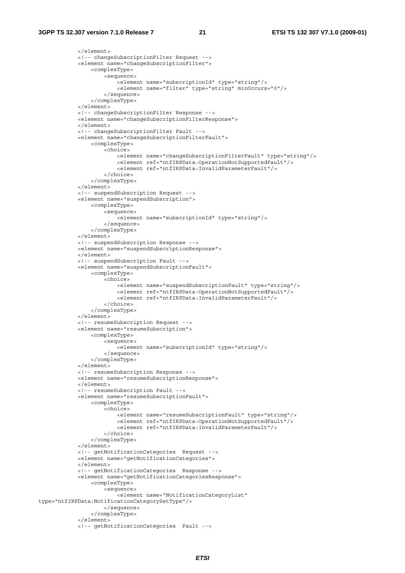```
 </element> 
              <!-- changeSubscriptionFilter Request --> 
             <element name="changeSubscriptionFilter"> 
                  <complexType> 
                      <sequence> 
                         -<br><element name="subscriptionId" type="string"/>
                           <element name="filter" type="string" minOccurs="0"/> 
                      </sequence> 
                  </complexType> 
              </element> 
             <!-- changeSubscriptionFilter Response --> 
             <element name="changeSubscriptionFilterResponse"> 
            \epsilon/element>
              <!-- changeSubscriptionFilter Fault --> 
             <element name="changeSubscriptionFilterFault"> 
                  <complexType> 
                      <choice> 
                           <element name="changeSubscriptionFilterFault" type="string"/> 
                           <element ref="ntfIRPData:OperationNotSupportedFault"/> 
                           <element ref="ntfIRPData:InvalidParameterFault"/> 
                      </choice> 
                  </complexType> 
             </element> 
              <!-- suspendSubscription Request --> 
             <element name="suspendSubscription"> 
                  <complexType> 
                      <sequence> 
                           <element name="subscriptionId" type="string"/> 
                      </sequence> 
                  </complexType> 
             </element> 
              <!-- suspendSubscription Response --> 
             <element name="suspendSubscriptionResponse"> 
             </element> 
              <!-- suspendSubscription Fault --> 
             <element name="suspendSubscriptionFault"> 
                  <complexType> 
                      <choice> 
                           <element name="suspendSubscriptionFault" type="string"/> 
                           <element ref="ntfIRPData:OperationNotSupportedFault"/> 
                           <element ref="ntfIRPData:InvalidParameterFault"/> 
                      </choice> 
                  </complexType> 
             </element> 
              <!-- resumeSubscription Request --> 
             <element name="resumeSubscription"> 
                  <complexType> 
                      <sequence> 
                           <element name="subscriptionId" type="string"/> 
                      </sequence> 
                  </complexType> 
             </element> 
              <!-- resumeSubscription Response --> 
             <element name="resumeSubscriptionResponse"> 
             </element> 
             <!-- resumeSubscription Fault --> 
             <element name="resumeSubscriptionFault"> 
                  <complexType> 
                      <choice> 
                           <element name="resumeSubscriptionFault" type="string"/> 
                           <element ref="ntfIRPData:OperationNotSupportedFault"/> 
                           <element ref="ntfIRPData:InvalidParameterFault"/> 
                      </choice> 
                  </complexType> 
             </element> 
             <!-- getNotificationCategories Request --> 
              <element name="getNotificationCategories"> 
             </element> 
             <!-- getNotificationCategories Response --> 
              <element name="getNotificationCategoriesResponse"> 
                  <complexType> 
                      <sequence> 
                          <element name="NotificationCategoryList" 
type="ntfIRPData:NotificationCategorySetType"/> 
                      </sequence> 
                  </complexType> 
              </element> 
              <!-- getNotificationCategories Fault -->
```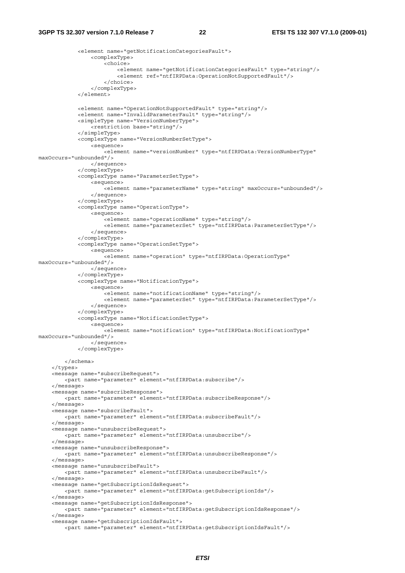```
 <element name="getNotificationCategoriesFault"> 
                  <complexType> 
                      <choice> 
                          <element name="getNotificationCategoriesFault" type="string"/> 
                           <element ref="ntfIRPData:OperationNotSupportedFault"/> 
                      </choice> 
                  </complexType> 
              </element> 
             <element name="OperationNotSupportedFault" type="string"/> 
              <element name="InvalidParameterFault" type="string"/> 
              <simpleType name="VersionNumberType"> 
                  <restriction base="string"/> 
              </simpleType> 
              <complexType name="VersionNumberSetType"> 
                  <sequence> 
                     -<br>-<element name="versionNumber" type="ntfIRPData:VersionNumberType"
maxOccurs="unbounded"/> 
                  </sequence> 
              </complexType> 
              <complexType name="ParameterSetType"> 
                  <sequence> 
                      <element name="parameterName" type="string" maxOccurs="unbounded"/> 
                  </sequence> 
              </complexType> 
              <complexType name="OperationType"> 
                  <sequence> 
                     -<br><element name="operationName" type="string"/>
                      <element name="parameterSet" type="ntfIRPData:ParameterSetType"/> 
                  </sequence> 
              </complexType> 
              <complexType name="OperationSetType"> 
                  <sequence> 
                      <element name="operation" type="ntfIRPData:OperationType" 
maxOccurs="unbounded"/> 
                  </sequence> 
              </complexType> 
              <complexType name="NotificationType"> 
                  <sequence> 
                      <element name="notificationName" type="string"/> 
                      <element name="parameterSet" type="ntfIRPData:ParameterSetType"/> 
                  </sequence> 
              </complexType> 
              <complexType name="NotificationSetType"> 
                  <sequence> 
                      <element name="notification" type="ntfIRPData:NotificationType" 
maxOccurs="unbounded"/> 
                  </sequence> 
              </complexType> 
         </schema> 
     </types> 
     <message name="subscribeRequest"> 
         <part name="parameter" element="ntfIRPData:subscribe"/> 
     </message> 
     <message name="subscribeResponse"> 
         <part name="parameter" element="ntfIRPData:subscribeResponse"/> 
     </message> 
     <message name="subscribeFault"> 
         <part name="parameter" element="ntfIRPData:subscribeFault"/> 
     </message> 
     <message name="unsubscribeRequest"> 
         <part name="parameter" element="ntfIRPData:unsubscribe"/> 
     </message> 
     <message name="unsubscribeResponse"> 
         <part name="parameter" element="ntfIRPData:unsubscribeResponse"/> 
     </message> 
     <message name="unsubscribeFault"> 
         <part name="parameter" element="ntfIRPData:unsubscribeFault"/> 
     </message> 
     <message name="getSubscriptionIdsRequest"> 
         <part name="parameter" element="ntfIRPData:getSubscriptionIds"/> 
     </message> 
     <message name="getSubscriptionIdsResponse"> 
         <part name="parameter" element="ntfIRPData:getSubscriptionIdsResponse"/> 
     </message> 
     <message name="getSubscriptionIdsFault"> 
         <part name="parameter" element="ntfIRPData:getSubscriptionIdsFault"/>
```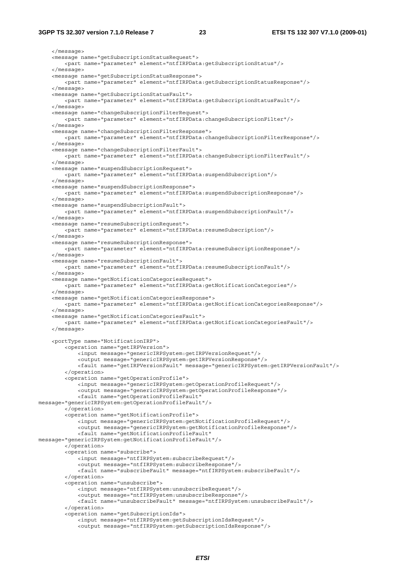#### **3GPP TS 32.307 version 7.1.0 Release 7 23 ETSI TS 132 307 V7.1.0 (2009-01)**

 </message> <message name="getSubscriptionStatusRequest"> <part name="parameter" element="ntfIRPData:getSubscriptionStatus"/> </message> <message name="getSubscriptionStatusResponse"> <part name="parameter" element="ntfIRPData:getSubscriptionStatusResponse"/> </message> <message name="getSubscriptionStatusFault"> <part name="parameter" element="ntfIRPData:getSubscriptionStatusFault"/> </message> <message name="changeSubscriptionFilterRequest"> <part name="parameter" element="ntfIRPData:changeSubscriptionFilter"/> </message> <message name="changeSubscriptionFilterResponse"> <part name="parameter" element="ntfIRPData:changeSubscriptionFilterResponse"/> </message> <message name="changeSubscriptionFilterFault"> <part name="parameter" element="ntfIRPData:changeSubscriptionFilterFault"/> </message> <message name="suspendSubscriptionRequest"> <part name="parameter" element="ntfIRPData:suspendSubscription"/> </message> <message name="suspendSubscriptionResponse"> <part name="parameter" element="ntfIRPData:suspendSubscriptionResponse"/> </message> <message name="suspendSubscriptionFault"> <part name="parameter" element="ntfIRPData:suspendSubscriptionFault"/> </message> <message name="resumeSubscriptionRequest"> <part name="parameter" element="ntfIRPData:resumeSubscription"/> </message> <message name="resumeSubscriptionResponse"> <part name="parameter" element="ntfIRPData:resumeSubscriptionResponse"/> </message> <message name="resumeSubscriptionFault"> <part name="parameter" element="ntfIRPData:resumeSubscriptionFault"/> </message> <message name="getNotificationCategoriesRequest"> <part name="parameter" element="ntfIRPData:getNotificationCategories"/> </message> <message name="getNotificationCategoriesResponse"> <part name="parameter" element="ntfIRPData:getNotificationCategoriesResponse"/> </message> <message name="getNotificationCategoriesFault"> <part name="parameter" element="ntfIRPData:getNotificationCategoriesFault"/> </message> <portType name="NotificationIRP"> <operation name="getIRPVersion"> <input message="genericIRPSystem:getIRPVersionRequest"/> <output message="genericIRPSystem:getIRPVersionResponse"/> <fault name="getIRPVersionFault" message="genericIRPSystem:getIRPVersionFault"/> </operation> <operation name="getOperationProfile"> <input message="genericIRPSystem:getOperationProfileRequest"/> <output message="genericIRPSystem:getOperationProfileResponse"/> <fault name="getOperationProfileFault" message="genericIRPSystem:getOperationProfileFault"/> </operation> <operation name="getNotificationProfile"> <input message="genericIRPSystem:getNotificationProfileRequest"/> <output message="genericIRPSystem:getNotificationProfileResponse"/> <fault name="getNotificationProfileFault" message="genericIRPSystem:getNotificationProfileFault"/> </operation> <operation name="subscribe"> <input message="ntfIRPSystem:subscribeRequest"/> <output message="ntfIRPSystem:subscribeResponse"/> <fault name="subscribeFault" message="ntfIRPSystem:subscribeFault"/> </operation> <operation name="unsubscribe"> <input message="ntfIRPSystem:unsubscribeRequest"/> <output message="ntfIRPSystem:unsubscribeResponse"/> <fault name="unsubscribeFault" message="ntfIRPSystem:unsubscribeFault"/> </operation> <operation name="getSubscriptionIds"> <input message="ntfIRPSystem:getSubscriptionIdsRequest"/> <output message="ntfIRPSystem:getSubscriptionIdsResponse"/>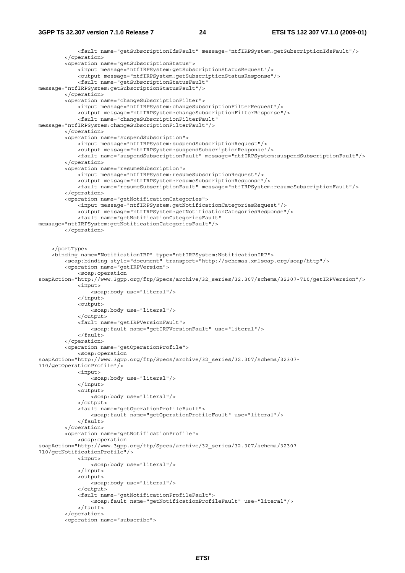```
 <fault name="getSubscriptionIdsFault" message="ntfIRPSystem:getSubscriptionIdsFault"/> 
         </operation> 
         <operation name="getSubscriptionStatus"> 
              <input message="ntfIRPSystem:getSubscriptionStatusRequest"/> 
              <output message="ntfIRPSystem:getSubscriptionStatusResponse"/> 
              <fault name="getSubscriptionStatusFault" 
message="ntfIRPSystem:getSubscriptionStatusFault"/> 
         </operation> 
        <operation name="changeSubscriptionFilter">
              <input message="ntfIRPSystem:changeSubscriptionFilterRequest"/> 
              <output message="ntfIRPSystem:changeSubscriptionFilterResponse"/> 
              <fault name="changeSubscriptionFilterFault" 
message="ntfIRPSystem:changeSubscriptionFilterFault"/> 
         </operation> 
         <operation name="suspendSubscription"> 
             <input message="ntfIRPSystem:suspendSubscriptionRequest"/> 
             <output message="ntfIRPSystem:suspendSubscriptionResponse"/>
             <fault name="suspendSubscriptionFault" message="ntfIRPSystem:suspendSubscriptionFault"/> 
         </operation> 
         <operation name="resumeSubscription"> 
             <input message="ntfIRPSystem:resumeSubscriptionRequest"/> 
             <output message="ntfIRPSystem:resumeSubscriptionResponse"/> 
              <fault name="resumeSubscriptionFault" message="ntfIRPSystem:resumeSubscriptionFault"/> 
         </operation> 
         <operation name="getNotificationCategories"> 
             <input message="ntfIRPSystem:getNotificationCategoriesRequest"/> 
             <output message="ntfIRPSystem:getNotificationCategoriesResponse"/>
              <fault name="getNotificationCategoriesFault" 
message="ntfIRPSystem:getNotificationCategoriesFault"/> 
         </operation> 
     </portType> 
     <binding name="NotificationIRP" type="ntfIRPSystem:NotificationIRP"> 
         <soap:binding style="document" transport="http://schemas.xmlsoap.org/soap/http"/> 
         <operation name="getIRPVersion"> 
             <soap:operation 
soapAction="http://www.3gpp.org/ftp/Specs/archive/32_series/32.307/schema/32307-710/getIRPVersion"/> 
             <input> 
                  <soap:body use="literal"/> 
             </input> 
             <output> 
                  <soap:body use="literal"/> 
              </output> 
             <fault name="getIRPVersionFault"> 
                  <soap:fault name="getIRPVersionFault" use="literal"/> 
            \epsilon/fault>
         </operation> 
         <operation name="getOperationProfile"> 
             <soap:operation 
soapAction="http://www.3gpp.org/ftp/Specs/archive/32_series/32.307/schema/32307-
710/getOperationProfile"/> 
             <input> 
                  <soap:body use="literal"/> 
              </input> 
             <output> 
                  <soap:body use="literal"/> 
              </output> 
             <fault name="getOperationProfileFault"> 
                  <soap:fault name="getOperationProfileFault" use="literal"/> 
             </fault> 
          </operation> 
         <operation name="getNotificationProfile"> 
              <soap:operation 
soapAction="http://www.3gpp.org/ftp/Specs/archive/32_series/32.307/schema/32307-
710/getNotificationProfile"/> 
             <input> 
                .<br><soap:body use="literal"/>
             </input> 
              <output> 
                  <soap:body use="literal"/> 
              </output> 
             <fault name="getNotificationProfileFault"> 
                  <soap:fault name="getNotificationProfileFault" use="literal"/> 
              </fault> 
         </operation> 
         <operation name="subscribe">
```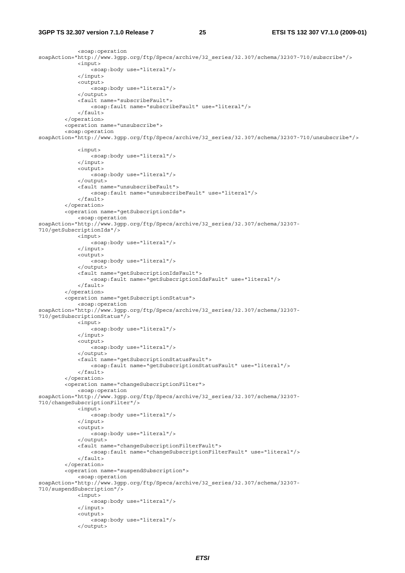#### **3GPP TS 32.307 version 7.1.0 Release 7 25 ETSI TS 132 307 V7.1.0 (2009-01)**

</output>

```
 <soap:operation 
soapAction="http://www.3gpp.org/ftp/Specs/archive/32_series/32.307/schema/32307-710/subscribe"/> 
              <input> 
                  <soap:body use="literal"/> 
              </input> 
              <output> 
                 -<br><soap:body use="literal"/>
             \epsilon/\alphautput>
              <fault name="subscribeFault"> 
                  <soap:fault name="subscribeFault" use="literal"/> 
              </fault> 
         </operation> 
          <operation name="unsubscribe"> 
          <soap:operation 
soapAction="http://www.3gpp.org/ftp/Specs/archive/32_series/32.307/schema/32307-710/unsubscribe"/> 
              <input> 
                  <soap:body use="literal"/> 
              </input> 
              <output> 
                 .<br><soap:body use="literal"/>
              </output> 
              <fault name="unsubscribeFault"> 
                  <soap:fault name="unsubscribeFault" use="literal"/> 
             \epsilon/faults
          </operation> 
          <operation name="getSubscriptionIds"> 
              <soap:operation 
soapAction="http://www.3gpp.org/ftp/Specs/archive/32_series/32.307/schema/32307-
710/getSubscriptionIds"/> 
              <input> 
                  <soap:body use="literal"/> 
              </input> 
              <output> 
                  <soap:body use="literal"/> 
              </output> 
              <fault name="getSubscriptionIdsFault"> 
                  <soap:fault name="getSubscriptionIdsFault" use="literal"/> 
              </fault> 
          </operation> 
         <operation name="getSubscriptionStatus"> 
              <soap:operation 
soapAction="http://www.3gpp.org/ftp/Specs/archive/32_series/32.307/schema/32307-
710/getSubscriptionStatus"/> 
              <input> 
                  <soap:body use="literal"/> 
              </input> 
              <output> 
                  <soap:body use="literal"/> 
              </output> 
              <fault name="getSubscriptionStatusFault"> 
                  <soap:fault name="getSubscriptionStatusFault" use="literal"/> 
              </fault> 
          </operation> 
         <operation name="changeSubscriptionFilter"> 
              <soap:operation 
soapAction="http://www.3gpp.org/ftp/Specs/archive/32_series/32.307/schema/32307-
710/changeSubscriptionFilter"/> 
              <input> 
                  <soap:body use="literal"/> 
              </input> 
              <output> 
                  <soap:body use="literal"/> 
              </output> 
              <fault name="changeSubscriptionFilterFault"> 
                  <soap:fault name="changeSubscriptionFilterFault" use="literal"/> 
              </fault> 
         </operation> 
         <operation name="suspendSubscription"> 
              <soap:operation 
soapAction="http://www.3gpp.org/ftp/Specs/archive/32_series/32.307/schema/32307-
710/suspendSubscription"/> 
              <input> 
                  <soap:body use="literal"/> 
              </input> 
              <output> 
                 -<br><soap:body use="literal"/>
```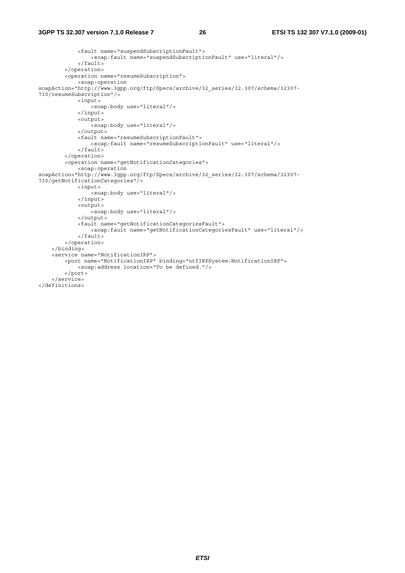#### **3GPP TS 32.307 version 7.1.0 Release 7 26 ETSI TS 132 307 V7.1.0 (2009-01)**

```
 <fault name="suspendSubscriptionFault"> 
                  <soap:fault name="suspendSubscriptionFault" use="literal"/> 
              </fault> 
         </operation> 
         <operation name="resumeSubscription"> 
             <soap:operation 
soapAction="http://www.3gpp.org/ftp/Specs/archive/32_series/32.307/schema/32307-
710/resumeSubscription"/> 
             <input> 
                  <soap:body use="literal"/> 
              </input> 
              <output> 
                  <soap:body use="literal"/> 
              </output> 
              <fault name="resumeSubscriptionFault"> 
                 <soap:fault name="resumeSubscriptionFault" use="literal"/> 
              </fault> 
         </operation> 
         <operation name="getNotificationCategories"> 
             <soap:operation 
soapAction="http://www.3gpp.org/ftp/Specs/archive/32_series/32.307/schema/32307-
710/getNotificationCategories"/> 
             <input> 
                  <soap:body use="literal"/> 
              </input> 
              <output> 
                 <soap:body use="literal"/> 
              </output> 
              <fault name="getNotificationCategoriesFault"> 
                  <soap:fault name="getNotificationCategoriesFault" use="literal"/> 
            \epsilon/fault>
         </operation> 
     </binding> 
     <service name="NotificationIRP"> 
         <port name="NotificationIRP" binding="ntfIRPSystem:NotificationIRP"> 
             <soap:address location="To be defined."/> 
         </port> 
     </service> 
</definitions>
```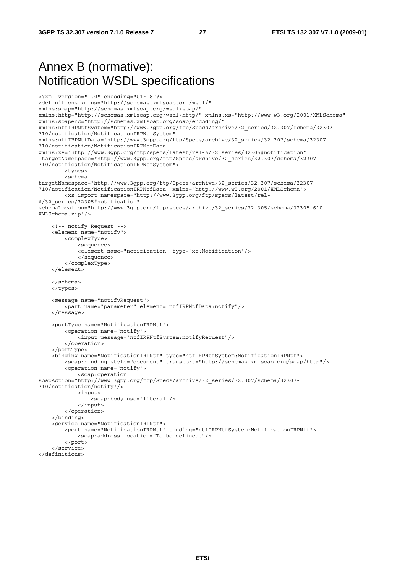## Annex B (normative): Notification WSDL specifications

```
<?xml version="1.0" encoding="UTF-8"?> 
<definitions xmlns="http://schemas.xmlsoap.org/wsdl/" 
xmlns:soap="http://schemas.xmlsoap.org/wsdl/soap/" 
xmlns:http="http://schemas.xmlsoap.org/wsdl/http/" xmlns:xs="http://www.w3.org/2001/XMLSchema" 
xmlns:soapenc="http://schemas.xmlsoap.org/soap/encoding/" 
xmlns:ntfIRPNtfSystem="http://www.3gpp.org/ftp/Specs/archive/32_series/32.307/schema/32307-
710/notification/NotificationIRPNtfSystem" 
xmlns:ntfIRPNtfData="http://www.3gpp.org/ftp/Specs/archive/32_series/32.307/schema/32307-
710/notification/NotificationIRPNtfData" 
xmlns:xe="http://www.3gpp.org/ftp/specs/latest/rel-6/32_series/32305#notification" 
 targetNamespace="http://www.3gpp.org/ftp/Specs/archive/32_series/32.307/schema/32307-
710/notification/NotificationIRPNtfSystem"> 
         <types> 
         <schema 
targetNamespace="http://www.3gpp.org/ftp/Specs/archive/32_series/32.307/schema/32307-
710/notification/NotificationIRPNtfData" xmlns="http://www.w3.org/2001/XMLSchema"> 
         <xs:import namespace="http://www.3gpp.org/ftp/specs/latest/rel-
6/32_series/32305#notification" 
schemaLocation="http://www.3gpp.org/ftp/specs/archive/32_series/32.305/schema/32305-610-
XMLSchema.zip"/> 
     <!-- notify Request --> 
     <element name="notify"> 
         <complexType> 
             <sequence> 
             <element name="notification" type="xe:Notification"/> 
             </sequence> 
         </complexType> 
     </element> 
     </schema> 
     </types> 
     <message name="notifyRequest"> 
         <part name="parameter" element="ntfIRPNtfData:notify"/> 
     </message> 
     <portType name="NotificationIRPNtf"> 
         <operation name="notify"> 
             <input message="ntfIRPNtfSystem:notifyRequest"/> 
         </operation> 
     </portType> 
     <binding name="NotificationIRPNtf" type="ntfIRPNtfSystem:NotificationIRPNtf"> 
         <soap:binding style="document" transport="http://schemas.xmlsoap.org/soap/http"/> 
         <operation name="notify"> 
             <soap:operation 
soapAction="http://www.3gpp.org/ftp/Specs/archive/32_series/32.307/schema/32307-
710/notification/notify"/> 
             <input> 
                 <soap:body use="literal"/> 
             </input> 
         </operation> 
     </binding> 
     <service name="NotificationIRPNtf"> 
         <port name="NotificationIRPNtf" binding="ntfIRPNtfSystem:NotificationIRPNtf"> 
             <soap:address location="To be defined."/> 
         </port> 
     </service>
```

```
</definitions>
```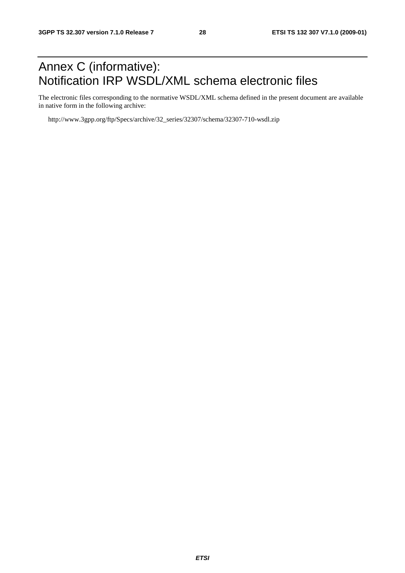## Annex C (informative): Notification IRP WSDL/XML schema electronic files

The electronic files corresponding to the normative WSDL/XML schema defined in the present document are available in native form in the following archive:

http://www.3gpp.org/ftp/Specs/archive/32\_series/32307/schema/32307-710-wsdl.zip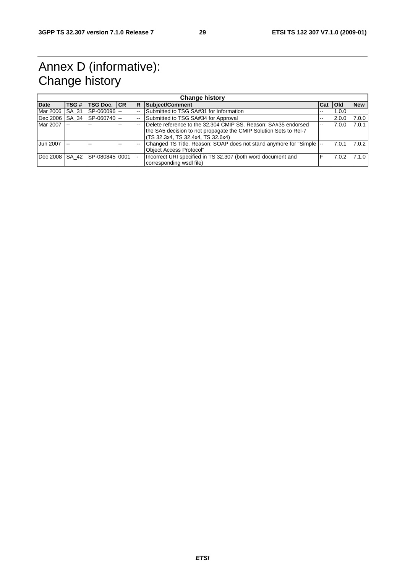## Annex D (informative): Change history

|                | <b>Change history</b> |                               |  |     |                                                                       |     |            |            |
|----------------|-----------------------|-------------------------------|--|-----|-----------------------------------------------------------------------|-----|------------|------------|
| <b>Date</b>    | TSG #                 | <b>TSG Doc. ICR</b>           |  | IR. | Subject/Comment                                                       | Cat | <b>Old</b> | <b>New</b> |
| Mar 2006       | <b>SA 31</b>          | SP-060096 -                   |  |     | Submitted to TSG SA#31 for Information                                | --  | 1.0.0      |            |
| Dec 2006 SA 34 |                       | $ SP-060740 $                 |  |     | Submitted to TSG SA#34 for Approval                                   | --  | 2.0.0      | 7.0.0      |
| Mar 2007 --    |                       |                               |  |     | Delete reference to the 32.304 CMIP SS, Reason: SA#35 endorsed        | $-$ | 7.0.0      | 7.0.1      |
|                |                       |                               |  |     | the SA5 decision to not propagate the CMIP Solution Sets to Rel-7     |     |            |            |
|                |                       |                               |  |     | TS 32.3x4, TS 32.4x4, TS 32.6x4)                                      |     |            |            |
| Jun 2007       | $-$                   |                               |  |     | Changed TS Title. Reason: SOAP does not stand anymore for "Simple  -- |     | 7.0.1      | 7.0.2      |
|                |                       |                               |  |     | Obiect Access Protocol"                                               |     |            |            |
|                |                       | Dec 2008 SA 42 SP-080845 0001 |  |     | Incorrect URI specified in TS 32.307 (both word document and          |     | 7.0.2      | 7.1.0      |
|                |                       |                               |  |     | corresponding wsdl file)                                              |     |            |            |